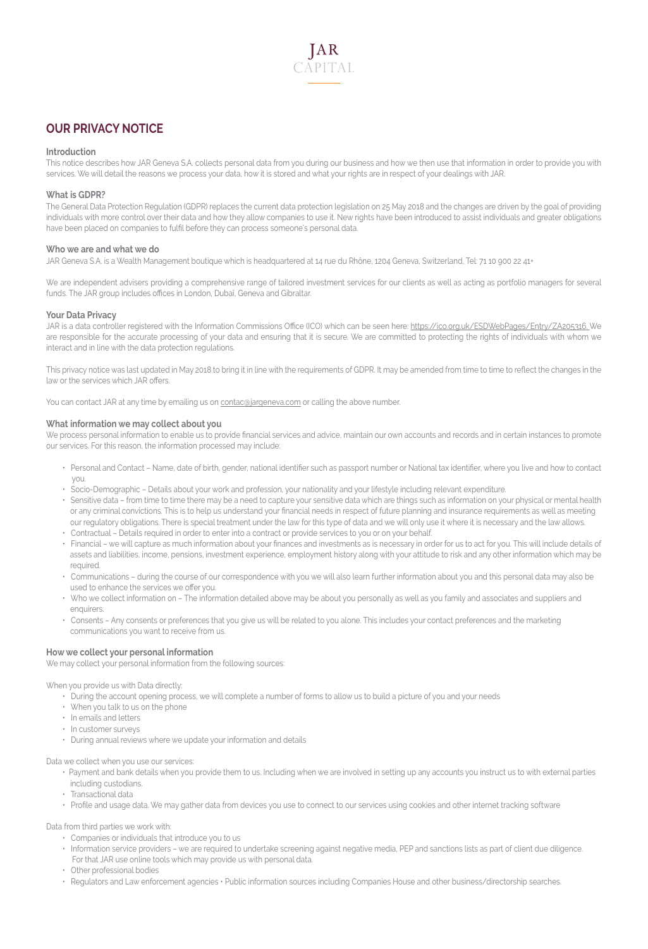

# **OUR PRIVACY NOTICE**

#### **Introduction**

This notice describes how JAR Geneva S.A. collects personal data from you during our business and how we then use that information in order to provide you with services. We will detail the reasons we process your data, how it is stored and what your rights are in respect of your dealings with JAR.

#### **What is GDPR?**

The General Data Protection Regulation (GDPR) replaces the current data protection legislation on 25 May 2018 and the changes are driven by the goal of providing individuals with more control over their data and how they allow companies to use it. New rights have been introduced to assist individuals and greater obligations have been placed on companies to fulfil before they can process someone's personal data.

#### **Who we are and what we do**

JAR Geneva S.A. is a Wealth Management boutique which is headquartered at 14 rue du Rhône, 1204 Geneva, Switzerland, Tel: 71 10 900 22 41+

We are independent advisers providing a comprehensive range of tailored investment services for our clients as well as acting as portfolio managers for several funds. The JAR group includes offices in London, Dubaî, Geneva and Gibraltar.

## **Your Data Privacy**

JAR is a data controller registered with the Information Commissions Office (ICO) which can be seen here: https://ico.org.uk/ESDWebPages/Entry/ZA205316. We are responsible for the accurate processing of your data and ensuring that it is secure. We are committed to protecting the rights of individuals with whom we interact and in line with the data protection regulations.

This privacy notice was last updated in May 2018 to bring it in line with the requirements of GDPR. It may be amended from time to time to reflect the changes in the law or the services which JAR offers.

You can contact JAR at any time by emailing us on **contac**@jargeneva.com or calling the above number.

#### **What information we may collect about you**

We process personal information to enable us to provide financial services and advice, maintain our own accounts and records and in certain instances to promote our services. For this reason, the information processed may include:

- Personal and Contact Name, date of birth, gender, national identifier such as passport number or National tax identifier, where you live and how to contact you.
- Socio-Demographic Details about your work and profession, your nationality and your lifestyle including relevant expenditure.
- Sensitive data from time to time there may be a need to capture your sensitive data which are things such as information on your physical or mental health or any criminal convictions. This is to help us understand your financial needs in respect of future planning and insurance requirements as well as meeting our regulatory obligations. There is special treatment under the law for this type of data and we will only use it where it is necessary and the law allows.
- Contractual Details required in order to enter into a contract or provide services to you or on your behalf.
- Financial we will capture as much information about your finances and investments as is necessary in order for us to act for you. This will include details of assets and liabilities, income, pensions, investment experience, employment history along with your attitude to risk and any other information which may be required.
- Communications during the course of our correspondence with you we will also learn further information about you and this personal data may also be used to enhance the services we offer you.
- Who we collect information on The information detailed above may be about you personally as well as you family and associates and suppliers and enquirers.
- Consents Any consents or preferences that you give us will be related to you alone. This includes your contact preferences and the marketing communications you want to receive from us.

## **How we collect your personal information**

We may collect your personal information from the following sources:

When you provide us with Data directly:

- During the account opening process, we will complete a number of forms to allow us to build a picture of you and your needs
- When you talk to us on the phone
- In emails and letters
- In customer surveys
- During annual reviews where we update your information and details

Data we collect when you use our services:

- Payment and bank details when you provide them to us. Including when we are involved in setting up any accounts you instruct us to with external parties including custodians.
- Transactional data
- Profile and usage data. We may gather data from devices you use to connect to our services using cookies and other internet tracking software

Data from third parties we work with:

- Companies or individuals that introduce you to us
- Information service providers we are required to undertake screening against negative media, PEP and sanctions lists as part of client due diligence. For that JAR use online tools which may provide us with personal data.
- Other professional bodies
- Regulators and Law enforcement agencies Public information sources including Companies House and other business/directorship searches.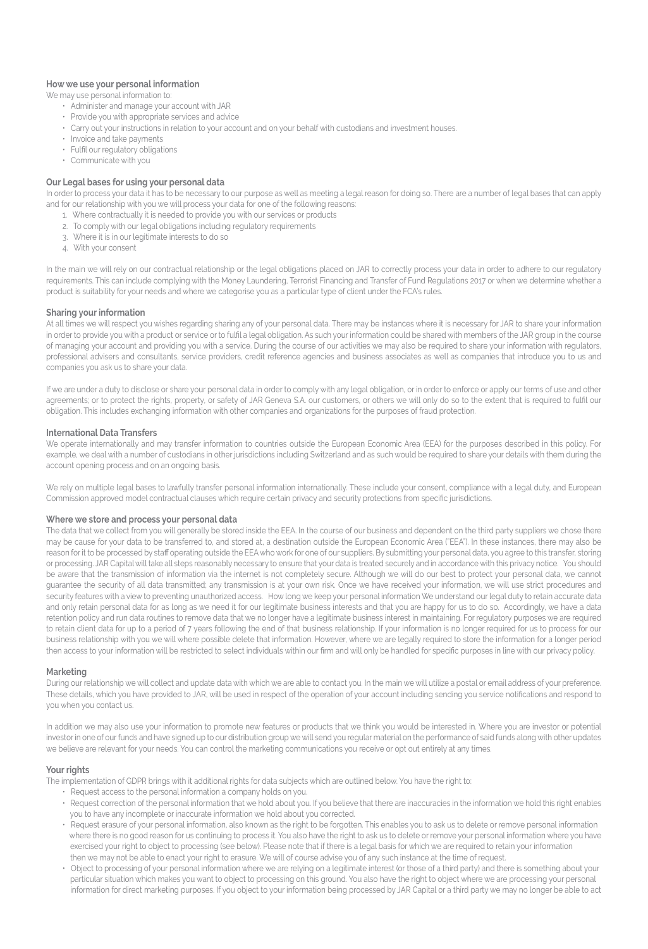## **How we use your personal information**

#### We may use personal information to:

- Administer and manage your account with JAR
- Provide you with appropriate services and advice
- Carry out your instructions in relation to your account and on your behalf with custodians and investment houses.
- Invoice and take payments
- Fulfil our regulatory obligations
- Communicate with you

## **Our Legal bases for using your personal data**

In order to process your data it has to be necessary to our purpose as well as meeting a legal reason for doing so. There are a number of legal bases that can apply and for our relationship with you we will process your data for one of the following reasons:

- 1. Where contractually it is needed to provide you with our services or products
- 2. To comply with our legal obligations including regulatory requirements
- 3. Where it is in our legitimate interests to do so
- 4. With your consent

In the main we will rely on our contractual relationship or the legal obligations placed on JAR to correctly process your data in order to adhere to our regulatory requirements. This can include complying with the Money Laundering, Terrorist Financing and Transfer of Fund Regulations 2017 or when we determine whether a product is suitability for your needs and where we categorise you as a particular type of client under the FCA's rules.

## **Sharing your information**

At all times we will respect you wishes regarding sharing any of your personal data. There may be instances where it is necessary for JAR to share your information in order to provide you with a product or service or to fulfil a legal obligation. As such your information could be shared with members of the JAR group in the course of managing your account and providing you with a service. During the course of our activities we may also be required to share your information with regulators, professional advisers and consultants, service providers, credit reference agencies and business associates as well as companies that introduce you to us and companies you ask us to share your data.

If we are under a duty to disclose or share your personal data in order to comply with any legal obligation, or in order to enforce or apply our terms of use and other agreements; or to protect the rights, property, or safety of JAR Geneva S.A. our customers, or others we will only do so to the extent that is required to fulfil our obligation. This includes exchanging information with other companies and organizations for the purposes of fraud protection.

#### **International Data Transfers**

We operate internationally and may transfer information to countries outside the European Economic Area (EEA) for the purposes described in this policy. For example, we deal with a number of custodians in other jurisdictions including Switzerland and as such would be required to share your details with them during the account opening process and on an ongoing basis.

We rely on multiple legal bases to lawfully transfer personal information internationally. These include your consent, compliance with a legal duty, and European Commission approved model contractual clauses which require certain privacy and security protections from specific jurisdictions.

#### **Where we store and process your personal data**

The data that we collect from you will generally be stored inside the EEA. In the course of our business and dependent on the third party suppliers we chose there may be cause for your data to be transferred to, and stored at, a destination outside the European Economic Area ("EEA"). In these instances, there may also be reason for it to be processed by staff operating outside the EEA who work for one of our suppliers. By submitting your personal data, you agree to this transfer, storing or processing. JAR Capital will take all steps reasonably necessary to ensure that your data is treated securely and in accordance with this privacy notice. You should be aware that the transmission of information via the internet is not completely secure. Although we will do our best to protect your personal data, we cannot guarantee the security of all data transmitted; any transmission is at your own risk. Once we have received your information, we will use strict procedures and security features with a view to preventing unauthorized access. How long we keep your personal information We understand our legal duty to retain accurate data and only retain personal data for as long as we need it for our legitimate business interests and that you are happy for us to do so. Accordingly, we have a data retention policy and run data routines to remove data that we no longer have a legitimate business interest in maintaining. For regulatory purposes we are required to retain client data for up to a period of 7 years following the end of that business relationship. If your information is no longer required for us to process for our business relationship with you we will where possible delete that information. However, where we are legally required to store the information for a longer period then access to your information will be restricted to select individuals within our firm and will only be handled for specific purposes in line with our privacy policy.

#### **Marketing**

During our relationship we will collect and update data with which we are able to contact you. In the main we will utilize a postal or email address of your preference. These details, which you have provided to JAR, will be used in respect of the operation of your account including sending you service notifications and respond to you when you contact us.

In addition we may also use your information to promote new features or products that we think you would be interested in. Where you are investor or potential investor in one of our funds and have signed up to our distribution group we will send you regular material on the performance of said funds along with other updates we believe are relevant for your needs. You can control the marketing communications you receive or opt out entirely at any times.

## **Your rights**

The implementation of GDPR brings with it additional rights for data subjects which are outlined below. You have the right to:

- Request access to the personal information a company holds on you.
- Request correction of the personal information that we hold about you. If you believe that there are inaccuracies in the information we hold this right enables you to have any incomplete or inaccurate information we hold about you corrected.
- Request erasure of your personal information, also known as the right to be forgotten. This enables you to ask us to delete or remove personal information where there is no good reason for us continuing to process it. You also have the right to ask us to delete or remove your personal information where you have exercised your right to object to processing (see below). Please note that if there is a legal basis for which we are required to retain your information then we may not be able to enact your right to erasure. We will of course advise you of any such instance at the time of request.
- Object to processing of your personal information where we are relying on a legitimate interest (or those of a third party) and there is something about your particular situation which makes you want to object to processing on this ground. You also have the right to object where we are processing your personal information for direct marketing purposes. If you object to your information being processed by JAR Capital or a third party we may no longer be able to act